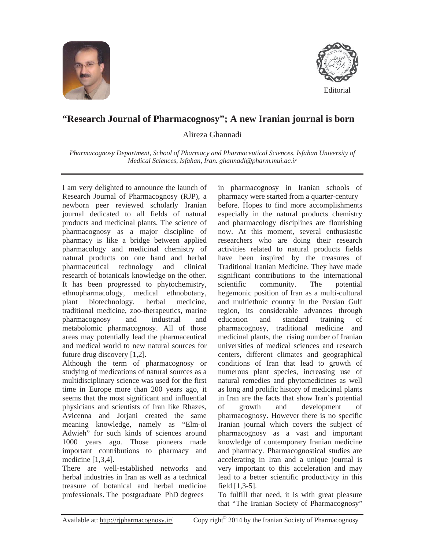



## **"Research Journal of Pharmacognosy"; A new Iranian journal is born**

Alireza Ghannadi

*Pharmacognosy Department, School of Pharmacy and Pharmaceutical Sciences, Isfahan University of Medical Sciences, Isfahan, Iran. ghannadi@pharm.mui.ac.ir* 

I am very delighted to announce the launch of Research Journal of Pharmacognosy (RJP), a newborn peer reviewed scholarly Iranian journal dedicated to all fields of natural products and medicinal plants. The science of pharmacognosy as a major discipline of pharmacy is like a bridge between applied pharmacology and medicinal chemistry of natural products on one hand and herbal pharmaceutical technology and clinical research of botanicals knowledge on the other. It has been progressed to phytochemistry, ethnopharmacology, medical ethnobotany, plant biotechnology, herbal medicine, traditional medicine, zoo-therapeutics, marine pharmacognosy and industrial and metabolomic pharmacognosy. All of those areas may potentially lead the pharmaceutical and medical world to new natural sources for future drug discovery [1,2].

Although the term of pharmacognosy or studying of medications of natural sources as a multidisciplinary science was used for the first time in Europe more than 200 years ago, it seems that the most significant and influential physicians and scientists of Iran like Rhazes, Avicenna and Jorjani created the same meaning knowledge, namely as "Elm-ol Adwieh" for such kinds of sciences around 1000 years ago. Those pioneers made important contributions to pharmacy and medicine [1,3,4].

There are well-established networks and herbal industries in Iran as well as a technical treasure of botanical and herbal medicine professionals. The postgraduate PhD degrees

in pharmacognosy in Iranian schools of pharmacy were started from a quarter-century before. Hopes to find more accomplishments especially in the natural products chemistry and pharmacology disciplines are flourishing now. At this moment, several enthusiastic researchers who are doing their research activities related to natural products fields have been inspired by the treasures of Traditional Iranian Medicine. They have made significant contributions to the international scientific community. The potential hegemonic position of Iran as a multi-cultural and multiethnic country in the Persian Gulf region, its considerable advances through education and standard training of pharmacognosy, traditional medicine and medicinal plants, the rising number of Iranian universities of medical sciences and research centers, different climates and geographical conditions of Iran that lead to growth of numerous plant species, increasing use of natural remedies and phytomedicines as well as long and prolific history of medicinal plants in Iran are the facts that show Iran's potential of growth and development of pharmacognosy. However there is no specific Iranian journal which covers the subject of pharmacognosy as a vast and important knowledge of contemporary Iranian medicine and pharmacy. Pharmacognostical studies are accelerating in Iran and a unique journal is very important to this acceleration and may lead to a better scientific productivity in this field [1,3-5].

To fulfill that need, it is with great pleasure that "The Iranian Society of Pharmacognosy"